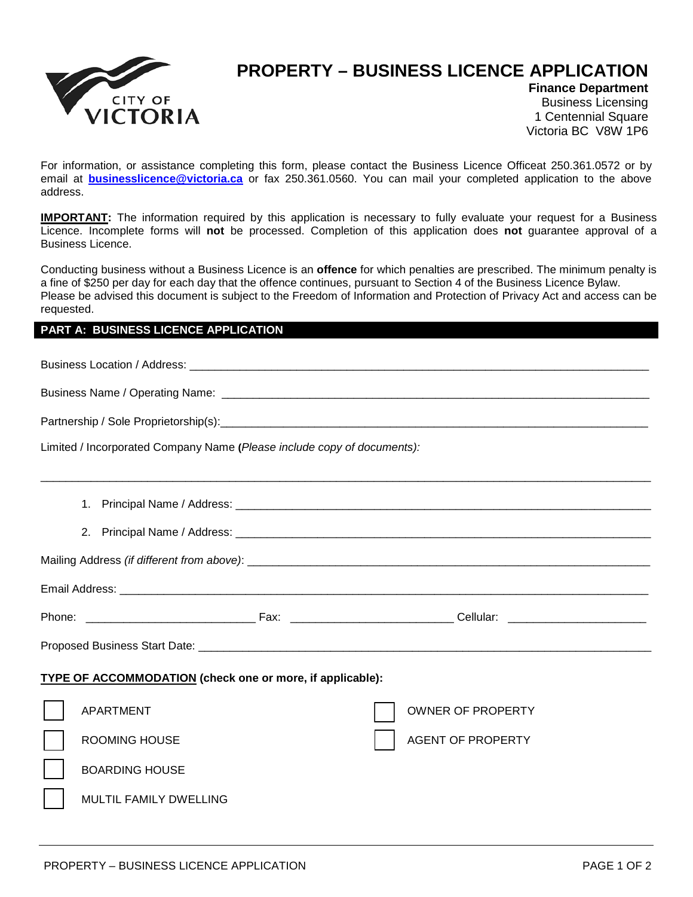

## **PROPERTY – BUSINESS LICENCE APPLICATION**

AGENT OF PROPERTY

**Finance Department** Business Licensing 1 Centennial Square Victoria BC V8W 1P6

For information, or assistance completing this form, please contact the Business Licence Officeat 250.361.0572 or by email at **businesslicence@victoria.ca** or fax 250.361.0560. You can mail your completed application to the above address.

**IMPORTANT:** The information required by this application is necessary to fully evaluate your request for a Business Licence. Incomplete forms will **not** be processed. Completion of this application does **not** guarantee approval of a Business Licence.

Conducting business without a Business Licence is an **offence** for which penalties are prescribed. The minimum penalty is a fine of \$250 per day for each day that the offence continues, pursuant to Section 4 of the Business Licence Bylaw. Please be advised this document is subject to the Freedom of Information and Protection of Privacy Act and access can be requested.

## **PART A: BUSINESS LICENCE APPLICATION**

Business Location / Address: \_\_\_\_\_\_\_\_\_\_\_\_\_\_\_\_\_\_\_\_\_\_\_\_\_\_\_\_\_\_\_\_\_\_\_\_\_\_\_\_\_\_\_\_\_\_\_\_\_\_\_\_\_\_\_\_\_\_\_\_\_\_\_\_\_\_\_\_\_\_\_\_\_ Business Name / Operating Name: \_\_\_\_\_\_\_\_\_\_\_\_\_\_\_\_\_\_\_\_\_\_\_\_\_\_\_\_\_\_\_\_\_\_\_\_\_\_\_\_\_\_\_\_\_\_\_\_\_\_\_\_\_\_\_\_\_\_\_\_\_\_\_\_\_\_\_\_ Partnership / Sole Proprietorship(s):\_\_\_\_\_\_\_\_\_\_\_\_\_\_\_\_\_\_\_\_\_\_\_\_\_\_\_\_\_\_\_\_\_\_\_\_\_\_\_\_\_\_\_\_\_\_\_\_\_\_\_\_\_\_\_\_\_\_\_\_\_\_\_\_\_\_\_\_ Limited / Incorporated Company Name **(***Please include copy of documents):*  \_\_\_\_\_\_\_\_\_\_\_\_\_\_\_\_\_\_\_\_\_\_\_\_\_\_\_\_\_\_\_\_\_\_\_\_\_\_\_\_\_\_\_\_\_\_\_\_\_\_\_\_\_\_\_\_\_\_\_\_\_\_\_\_\_\_\_\_\_\_\_\_\_\_\_\_\_\_\_\_\_\_\_\_\_\_\_\_\_\_\_\_\_\_\_\_\_ 1. Principal Name / Address: \_\_\_\_\_\_\_\_\_\_\_\_\_\_\_\_\_\_\_\_\_\_\_\_\_\_\_\_\_\_\_\_\_\_\_\_\_\_\_\_\_\_\_\_\_\_\_\_\_\_\_\_\_\_\_\_\_\_\_\_\_\_\_\_\_\_ 2. Principal Name / Address: \_\_\_\_\_\_\_\_\_\_\_\_\_\_\_\_\_\_\_\_\_\_\_\_\_\_\_\_\_\_\_\_\_\_\_\_\_\_\_\_\_\_\_\_\_\_\_\_\_\_\_\_\_\_\_\_\_\_\_\_\_\_\_\_\_\_ Mailing Address *(if different from above)*: \_\_\_\_\_\_\_\_\_\_\_\_\_\_\_\_\_\_\_\_\_\_\_\_\_\_\_\_\_\_\_\_\_\_\_\_\_\_\_\_\_\_\_\_\_\_\_\_\_\_\_\_\_\_\_\_\_\_\_\_\_\_\_\_ Email Address: \_\_\_\_\_\_\_\_\_\_\_\_\_\_\_\_\_\_\_\_\_\_\_\_\_\_\_\_\_\_\_\_\_\_\_\_\_\_\_\_\_\_\_\_\_\_\_\_\_\_\_\_\_\_\_\_\_\_\_\_\_\_\_\_\_\_\_\_\_\_\_\_\_\_\_\_\_\_\_\_\_\_\_\_ Phone: \_\_\_\_\_\_\_\_\_\_\_\_\_\_\_\_\_\_\_\_\_\_\_\_\_\_\_ Fax: \_\_\_\_\_\_\_\_\_\_\_\_\_\_\_\_\_\_\_\_\_\_\_\_\_\_ Cellular: \_\_\_\_\_\_\_\_\_\_\_\_\_\_\_\_\_\_\_\_\_\_ Proposed Business Start Date: \_\_\_\_\_\_\_\_\_\_\_\_\_\_\_\_\_\_\_\_\_\_\_\_\_\_\_\_\_\_\_\_\_\_\_\_\_\_\_\_\_\_\_\_\_\_\_\_\_\_\_\_\_\_\_\_\_\_\_\_\_\_\_\_\_\_\_\_\_\_\_\_ **TYPE OF ACCOMMODATION (check one or more, if applicable):** APARTMENT OWNER OF PROPERTY

ROOMING HOUSE

BOARDING HOUSE

| MULTIL FAMILY DWELLING |  |
|------------------------|--|
|                        |  |